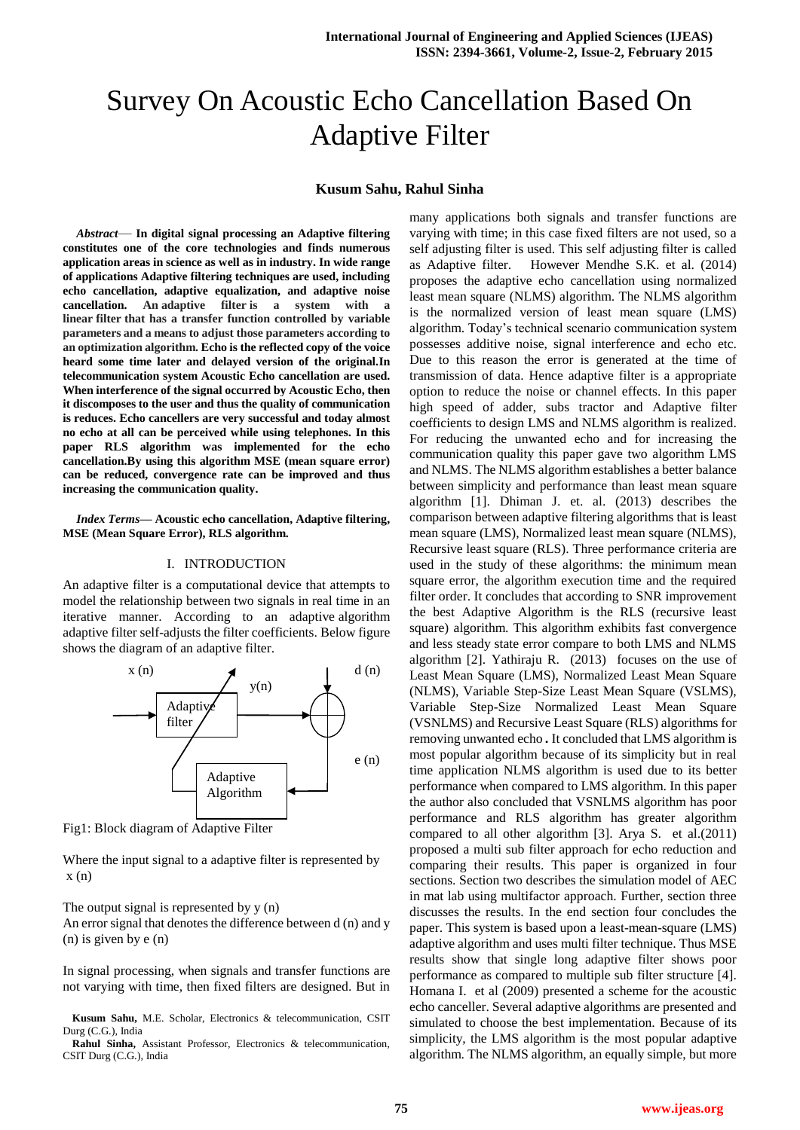# Survey On Acoustic Echo Cancellation Based On Adaptive Filter

## **Kusum Sahu, Rahul Sinha**

*Abstract*— **In digital signal processing an Adaptive filtering constitutes one of the core technologies and finds numerous application areas in science as well as in industry. In wide range of applications Adaptive filtering techniques are used, including echo cancellation, adaptive equalization, and adaptive noise cancellation.** An adaptive filter is a system with **linear filter that has a transfer function controlled by variable parameters and a means to adjust those parameters according to an optimization algorithm. Echo is the reflected copy of the voice heard some time later and delayed version of the original.In telecommunication system Acoustic Echo cancellation are used. When interference of the signal occurred by Acoustic Echo, then it discomposes to the user and thus the quality of communication is reduces. Echo cancellers are very successful and today almost no echo at all can be perceived while using telephones. In this paper RLS algorithm was implemented for the echo cancellation.By using this algorithm MSE (mean square error) can be reduced, convergence rate can be improved and thus increasing the communication quality.**

*Index Terms***— Acoustic echo cancellation, Adaptive filtering, MSE (Mean Square Error), RLS algorithm.**

#### I. INTRODUCTION

An adaptive filter is a computational device that attempts to model the relationship between two signals in real time in an iterative manner. According to an adaptive algorithm adaptive filter self-adjusts the filter coefficients. Below figure shows the diagram of an adaptive filter.



Fig1: Block diagram of Adaptive Filter

Where the input signal to a adaptive filter is represented by  $x(n)$ 

The output signal is represented by  $y(n)$ 

An error signal that denotes the difference between d (n) and y (n) is given by e (n)

In signal processing, when signals and transfer functions are not varying with time, then fixed filters are designed. But in

many applications both signals and transfer functions are varying with time; in this case fixed filters are not used, so a self adjusting filter is used. This self adjusting filter is called as Adaptive filter. However Mendhe S.K. et al. (2014) proposes the adaptive echo cancellation using normalized least mean square (NLMS) algorithm. The NLMS algorithm is the normalized version of least mean square (LMS) algorithm. Today's technical scenario communication system possesses additive noise, signal interference and echo etc. Due to this reason the error is generated at the time of transmission of data. Hence adaptive filter is a appropriate option to reduce the noise or channel effects. In this paper high speed of adder, subs tractor and Adaptive filter coefficients to design LMS and NLMS algorithm is realized. For reducing the unwanted echo and for increasing the communication quality this paper gave two algorithm LMS and NLMS. The NLMS algorithm establishes a better balance between simplicity and performance than least mean square algorithm [1]. Dhiman J. et. al. (2013) describes the comparison between adaptive filtering algorithms that is least mean square (LMS), Normalized least mean square (NLMS), Recursive least square (RLS). Three performance criteria are used in the study of these algorithms: the minimum mean square error, the algorithm execution time and the required filter order. It concludes that according to SNR improvement the best Adaptive Algorithm is the RLS (recursive least square) algorithm. This algorithm exhibits fast convergence and less steady state error compare to both LMS and NLMS algorithm [2]. Yathiraju R. (2013) focuses on the use of Least Mean Square (LMS), Normalized Least Mean Square (NLMS), Variable Step-Size Least Mean Square (VSLMS), Variable Step-Size Normalized Least Mean Square (VSNLMS) and Recursive Least Square (RLS) algorithms for removing unwanted echo *.* It concluded that LMS algorithm is most popular algorithm because of its simplicity but in real time application NLMS algorithm is used due to its better performance when compared to LMS algorithm. In this paper the author also concluded that VSNLMS algorithm has poor performance and RLS algorithm has greater algorithm compared to all other algorithm [3]. Arya S. et al.(2011) proposed a multi sub filter approach for echo reduction and comparing their results. This paper is organized in four sections. Section two describes the simulation model of AEC in mat lab using multifactor approach. Further, section three discusses the results. In the end section four concludes the paper. This system is based upon a least-mean-square (LMS) adaptive algorithm and uses multi filter technique. Thus MSE results show that single long adaptive filter shows poor performance as compared to multiple sub filter structure [4]. Homana I. et al (2009) presented a scheme for the acoustic echo canceller. Several adaptive algorithms are presented and simulated to choose the best implementation. Because of its simplicity, the LMS algorithm is the most popular adaptive algorithm. The NLMS algorithm, an equally simple, but more

**Kusum Sahu,** M.E. Scholar, Electronics & telecommunication, CSIT Durg (C.G.), India

**Rahul Sinha,** Assistant Professor, Electronics & telecommunication, CSIT Durg (C.G.), India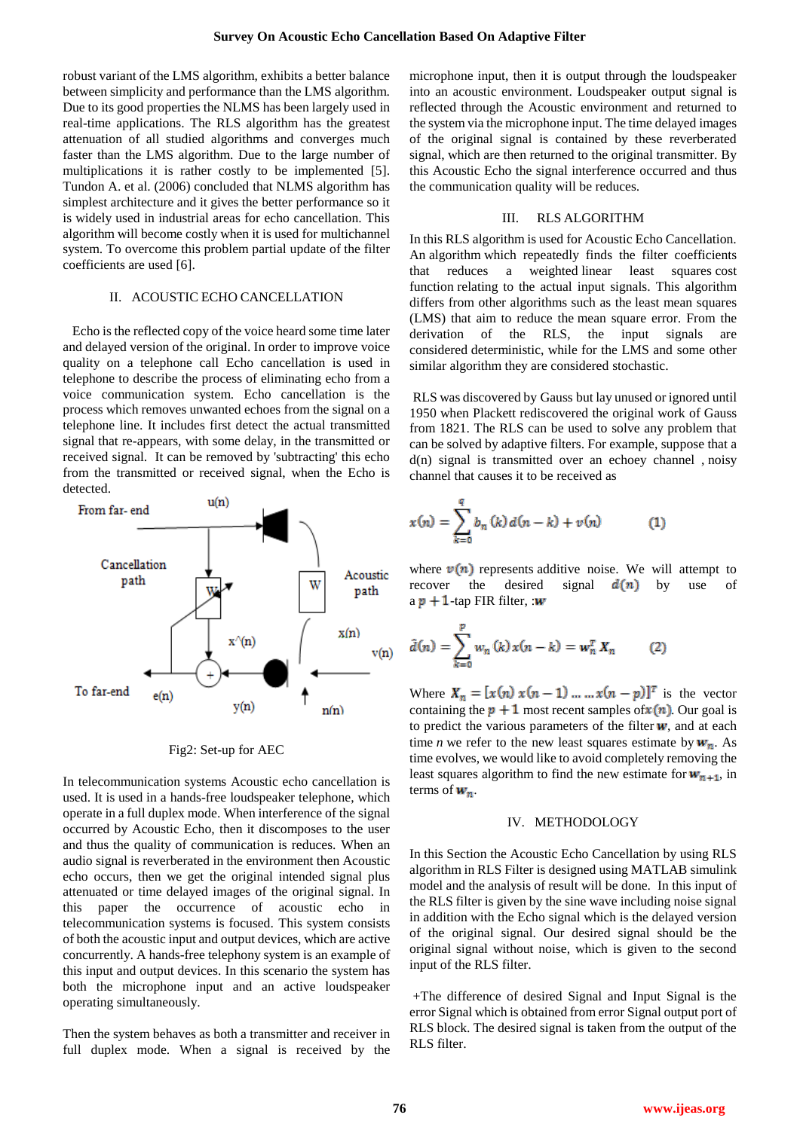robust variant of the LMS algorithm, exhibits a better balance between simplicity and performance than the LMS algorithm. Due to its good properties the NLMS has been largely used in real-time applications. The RLS algorithm has the greatest attenuation of all studied algorithms and converges much faster than the LMS algorithm. Due to the large number of multiplications it is rather costly to be implemented [5]. Tundon A. et al. (2006) concluded that NLMS algorithm has simplest architecture and it gives the better performance so it is widely used in industrial areas for echo cancellation. This algorithm will become costly when it is used for multichannel system. To overcome this problem partial update of the filter coefficients are used [6].

## II. ACOUSTIC ECHO CANCELLATION

Echo is the reflected copy of the voice heard some time later and delayed version of the original. In order to improve voice quality on a telephone call Echo cancellation is used in telephone to describe the process of eliminating echo from a voice communication system. Echo cancellation is the process which removes unwanted echoes from the signal on a telephone line. It includes first detect the actual transmitted signal that re-appears, with some delay, in the transmitted or received signal. It can be removed by 'subtracting' this echo from the transmitted or received signal, when the Echo is detected.



Fig2: Set-up for AEC

In telecommunication systems Acoustic echo cancellation is used. It is used in a hands-free loudspeaker telephone, which operate in a full duplex mode. When interference of the signal occurred by Acoustic Echo, then it discomposes to the user and thus the quality of communication is reduces. When an audio signal is reverberated in the environment then Acoustic echo occurs, then we get the original intended signal plus attenuated or time delayed images of the original signal. In this paper the occurrence of acoustic echo in telecommunication systems is focused. This system consists of both the acoustic input and output devices, which are active concurrently. A hands-free telephony system is an example of this input and output devices. In this scenario the system has both the microphone input and an active loudspeaker operating simultaneously.

Then the system behaves as both a transmitter and receiver in full duplex mode. When a signal is received by the microphone input, then it is output through the loudspeaker into an acoustic environment. Loudspeaker output signal is reflected through the Acoustic environment and returned to the system via the microphone input. The time delayed images of the original signal is contained by these reverberated signal, which are then returned to the original transmitter. By this Acoustic Echo the signal interference occurred and thus the communication quality will be reduces.

#### III. RLS ALGORITHM

In this RLS algorithm is used for Acoustic Echo Cancellation. An algorithm which repeatedly finds the filter coefficients that reduces a weighted linear least squares cost function relating to the actual input signals. This algorithm differs from other algorithms such as the least mean squares (LMS) that aim to reduce the mean square error. From the derivation of the RLS, the input signals are considered deterministic, while for the LMS and some other similar algorithm they are considered stochastic.

RLS was discovered by [Gauss](http://en.wikipedia.org/wiki/Carl_Friedrich_Gauss) but lay unused or ignored until 1950 when Plackett rediscovered the original work of Gauss from 1821. The RLS can be used to solve any problem that can be solved by [adaptive filters.](http://en.wikipedia.org/wiki/Adaptive_filter) For example, suppose that a d(n) signal is transmitted over an echoey channel , [noisy](http://en.wikipedia.org/wiki/Noisy_channel)  [channel](http://en.wikipedia.org/wiki/Noisy_channel) that causes it to be received as

$$
x(n) = \sum_{k=0}^{q} b_n(k) d(n-k) + v(n)
$$
 (1)

where  $v(n)$  represents [additive noise.](http://en.wikipedia.org/wiki/Additive_noise) We will attempt to recover the desired signal  $d(n)$  by use of  $a p + 1$ -tap [FIR](http://en.wikipedia.org/wiki/Finite_impulse_response) filter, :w

$$
\hat{d}(n) = \sum_{k=0}^{p} w_n(k) x(n-k) = \mathbf{w}_n^T X_n \tag{2}
$$

Where  $X_n = [x(n) x(n-1) ... ... x(n-p)]^T$  is the vector containing the  $p + 1$  most recent samples of  $x(n)$ . Our goal is to predict the various parameters of the filter  $w$ , and at each time *n* we refer to the new least squares estimate by  $w_n$ . As time evolves, we would like to avoid completely removing the least squares algorithm to find the new estimate for  $w_{n+1}$ , in terms of  $w_n$ .

#### IV. METHODOLOGY

In this Section the Acoustic Echo Cancellation by using RLS algorithm in RLS Filter is designed using MATLAB simulink model and the analysis of result will be done. In this input of the RLS filter is given by the sine wave including noise signal in addition with the Echo signal which is the delayed version of the original signal. Our desired signal should be the original signal without noise, which is given to the second input of the RLS filter.

+The difference of desired Signal and Input Signal is the error Signal which is obtained from error Signal output port of RLS block. The desired signal is taken from the output of the RLS filter.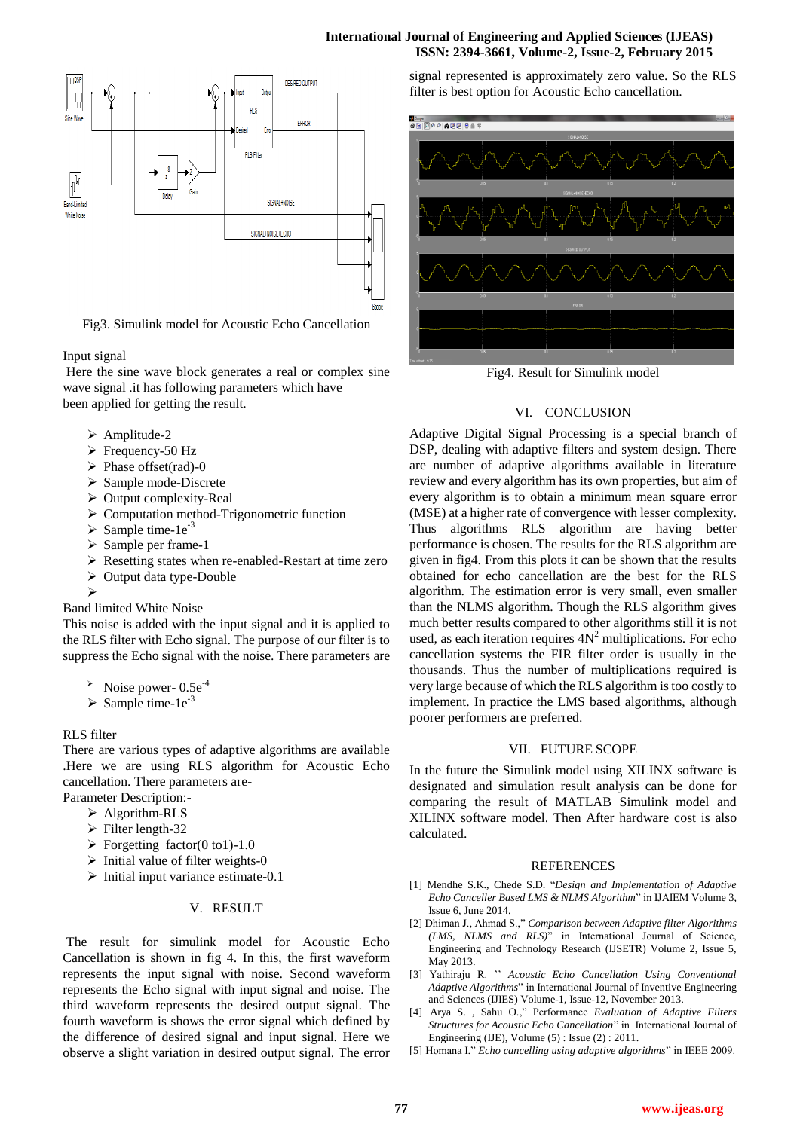## **International Journal of Engineering and Applied Sciences (IJEAS) ISSN: 2394-3661, Volume-2, Issue-2, February 2015**



Fig3. Simulink model for Acoustic Echo Cancellation

## Input signal

Here the sine wave block generates a real or complex sine wave signal .it has following parameters which have been applied for getting the result.

- > Amplitude-2
- $\triangleright$  Frequency-50 Hz
- $\triangleright$  Phase offset(rad)-0
- Sample mode-Discrete
- $\triangleright$  Output complexity-Real
- Computation method-Trigonometric function
- $\triangleright$  Sample time-1e<sup>-3</sup>
- $\triangleright$  Sample per frame-1
- Resetting states when re-enabled-Restart at time zero
- $\triangleright$  Output data type-Double
- $\triangleright$

Band limited White Noise

This noise is added with the input signal and it is applied to the RLS filter with Echo signal. The purpose of our filter is to suppress the Echo signal with the noise. There parameters are

- Noise power-  $0.5e^{-4}$
- $\triangleright$  Sample time-1e<sup>-3</sup>

RLS filter

There are various types of adaptive algorithms are available .Here we are using RLS algorithm for Acoustic Echo cancellation. There parameters are-

- Parameter Description:-
	- > Algorithm-RLS
	- $\triangleright$  Filter length-32
	- $\triangleright$  Forgetting factor(0 to1)-1.0
	- $\triangleright$  Initial value of filter weights-0

## $\triangleright$  Initial input variance estimate-0.1

## V. RESULT

The result for simulink model for Acoustic Echo Cancellation is shown in fig 4. In this, the first waveform represents the input signal with noise. Second waveform represents the Echo signal with input signal and noise. The third waveform represents the desired output signal. The fourth waveform is shows the error signal which defined by the difference of desired signal and input signal. Here we observe a slight variation in desired output signal. The error

signal represented is approximately zero value. So the RLS filter is best option for Acoustic Echo cancellation.



Fig4. Result for Simulink model

## VI. CONCLUSION

Adaptive Digital Signal Processing is a special branch of DSP, dealing with adaptive filters and system design. There are number of adaptive algorithms available in literature review and every algorithm has its own properties, but aim of every algorithm is to obtain a minimum mean square error (MSE) at a higher rate of convergence with lesser complexity. Thus algorithms RLS algorithm are having better performance is chosen. The results for the RLS algorithm are given in fig4. From this plots it can be shown that the results obtained for echo cancellation are the best for the RLS algorithm. The estimation error is very small, even smaller than the NLMS algorithm. Though the RLS algorithm gives much better results compared to other algorithms still it is not used, as each iteration requires  $4N^2$  multiplications. For echo cancellation systems the FIR filter order is usually in the thousands. Thus the number of multiplications required is very large because of which the RLS algorithm is too costly to implement. In practice the LMS based algorithms, although poorer performers are preferred.

## VII. FUTURE SCOPE

In the future the Simulink model using XILINX software is designated and simulation result analysis can be done for comparing the result of MATLAB Simulink model and XILINX software model. Then After hardware cost is also calculated.

## REFERENCES

- [1] Mendhe S.K., Chede S.D. "*Design and Implementation of Adaptive Echo Canceller Based LMS & NLMS Algorithm*" in IJAIEM Volume 3, Issue 6, June 2014.
- [2] Dhiman J., Ahmad S.," *Comparison between Adaptive filter Algorithms (LMS, NLMS and RLS)*" in International Journal of Science, Engineering and Technology Research (IJSETR) Volume 2, Issue 5, May 2013.
- [3] Yathiraju R. '' *Acoustic Echo Cancellation Using Conventional Adaptive Algorithms*" in International Journal of Inventive Engineering and Sciences (IJIES) Volume-1, Issue-12, November 2013.
- [4] Arya S. , Sahu O.," Performance *Evaluation of Adaptive Filters Structures for Acoustic Echo Cancellation*" in International Journal of Engineering (IJE), Volume (5) : Issue (2) : 2011.
- [5] Homana I." *Echo cancelling using adaptive algorithms*" in IEEE 2009.